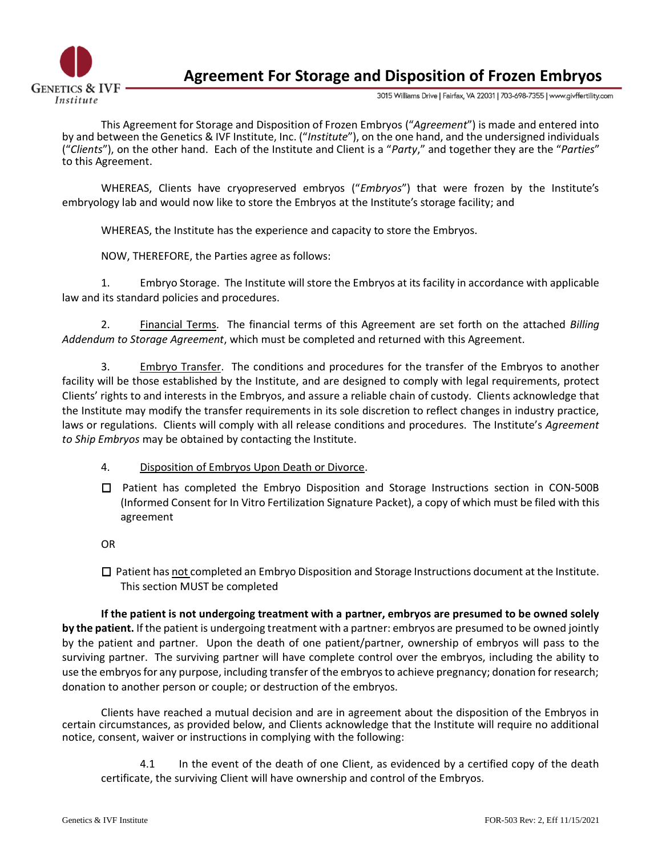

**Agreement For Storage and Disposition of Frozen Embryos**

3015 Williams Drive | Fairfax, VA 22031 | 703-698-7355 | www.givffertility.com

This Agreement for Storage and Disposition of Frozen Embryos ("*Agreement*") is made and entered into by and between the Genetics & IVF Institute, Inc. ("*Institute*"), on the one hand, and the undersigned individuals ("*Clients*"), on the other hand. Each of the Institute and Client is a "*Party*," and together they are the "*Parties*" to this Agreement.

WHEREAS, Clients have cryopreserved embryos ("*Embryos*") that were frozen by the Institute's embryology lab and would now like to store the Embryos at the Institute's storage facility; and

WHEREAS, the Institute has the experience and capacity to store the Embryos.

NOW, THEREFORE, the Parties agree as follows:

1. Embryo Storage. The Institute will store the Embryos at its facility in accordance with applicable law and its standard policies and procedures.

2. Financial Terms. The financial terms of this Agreement are set forth on the attached *Billing Addendum to Storage Agreement*, which must be completed and returned with this Agreement.

3. Embryo Transfer. The conditions and procedures for the transfer of the Embryos to another facility will be those established by the Institute, and are designed to comply with legal requirements, protect Clients' rights to and interests in the Embryos, and assure a reliable chain of custody. Clients acknowledge that the Institute may modify the transfer requirements in its sole discretion to reflect changes in industry practice, laws or regulations. Clients will comply with all release conditions and procedures. The Institute's *Agreement to Ship Embryos* may be obtained by contacting the Institute.

- 4. Disposition of Embryos Upon Death or Divorce.
- $\Box$ Patient has completed the Embryo Disposition and Storage Instructions section in CON-500B (Informed Consent for In Vitro Fertilization Signature Packet), a copy of which must be filed with this agreement
- OR
- $\square$  Patient has not completed an Embryo Disposition and Storage Instructions document at the Institute. This section MUST be completed

**If the patient is not undergoing treatment with a partner, embryos are presumed to be owned solely by the patient.** If the patient is undergoing treatment with a partner: embryos are presumed to be owned jointly by the patient and partner. Upon the death of one patient/partner, ownership of embryos will pass to the surviving partner. The surviving partner will have complete control over the embryos, including the ability to use the embryos for any purpose, including transfer of the embryos to achieve pregnancy; donation for research; donation to another person or couple; or destruction of the embryos.

Clients have reached a mutual decision and are in agreement about the disposition of the Embryos in certain circumstances, as provided below, and Clients acknowledge that the Institute will require no additional notice, consent, waiver or instructions in complying with the following:

4.1 In the event of the death of one Client, as evidenced by a certified copy of the death certificate, the surviving Client will have ownership and control of the Embryos.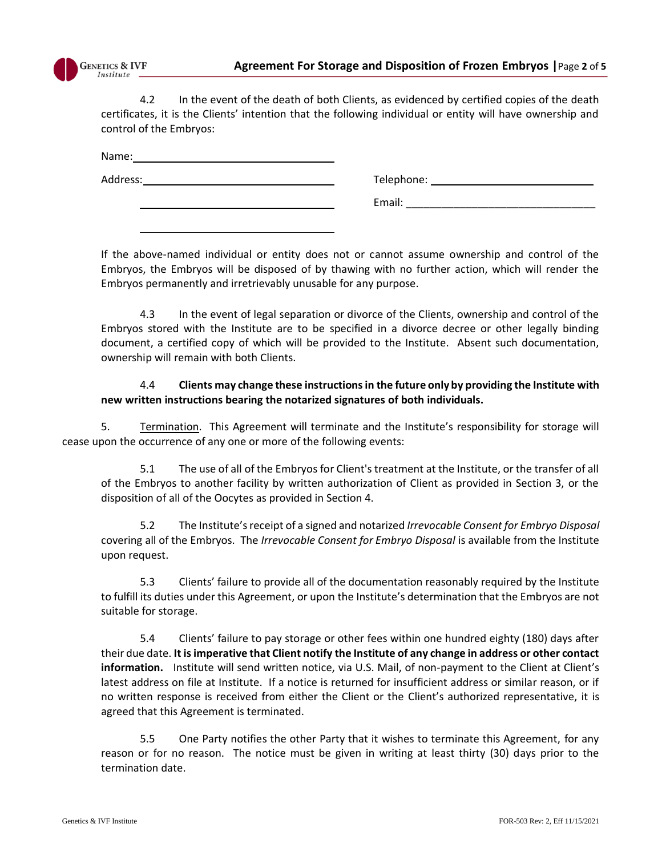

4.2 In the event of the death of both Clients, as evidenced by certified copies of the death certificates, it is the Clients' intention that the following individual or entity will have ownership and control of the Embryos:

| Name:    |               |
|----------|---------------|
| Address: | Telephone: __ |
|          | Email:        |

If the above-named individual or entity does not or cannot assume ownership and control of the Embryos, the Embryos will be disposed of by thawing with no further action, which will render the Embryos permanently and irretrievably unusable for any purpose.

4.3 In the event of legal separation or divorce of the Clients, ownership and control of the Embryos stored with the Institute are to be specified in a divorce decree or other legally binding document, a certified copy of which will be provided to the Institute. Absent such documentation, ownership will remain with both Clients.

## 4.4 **Clients may change these instructions in the future only by providing the Institute with new written instructions bearing the notarized signatures of both individuals.**

5. Termination. This Agreement will terminate and the Institute's responsibility for storage will cease upon the occurrence of any one or more of the following events:

5.1 The use of all of the Embryos for Client's treatment at the Institute, or the transfer of all of the Embryos to another facility by written authorization of Client as provided in Section 3, or the disposition of all of the Oocytes as provided in Section 4.

5.2 The Institute's receipt of a signed and notarized *Irrevocable Consent for Embryo Disposal*  covering all of the Embryos. The *Irrevocable Consent for Embryo Disposal* is available from the Institute upon request.

5.3 Clients' failure to provide all of the documentation reasonably required by the Institute to fulfill its duties under this Agreement, or upon the Institute's determination that the Embryos are not suitable for storage.

5.4 Clients' failure to pay storage or other fees within one hundred eighty (180) days after their due date. **It is imperative that Client notify the Institute of any change in address or other contact information.** Institute will send written notice, via U.S. Mail, of non-payment to the Client at Client's latest address on file at Institute. If a notice is returned for insufficient address or similar reason, or if no written response is received from either the Client or the Client's authorized representative, it is agreed that this Agreement is terminated.

5.5 One Party notifies the other Party that it wishes to terminate this Agreement, for any reason or for no reason. The notice must be given in writing at least thirty (30) days prior to the termination date.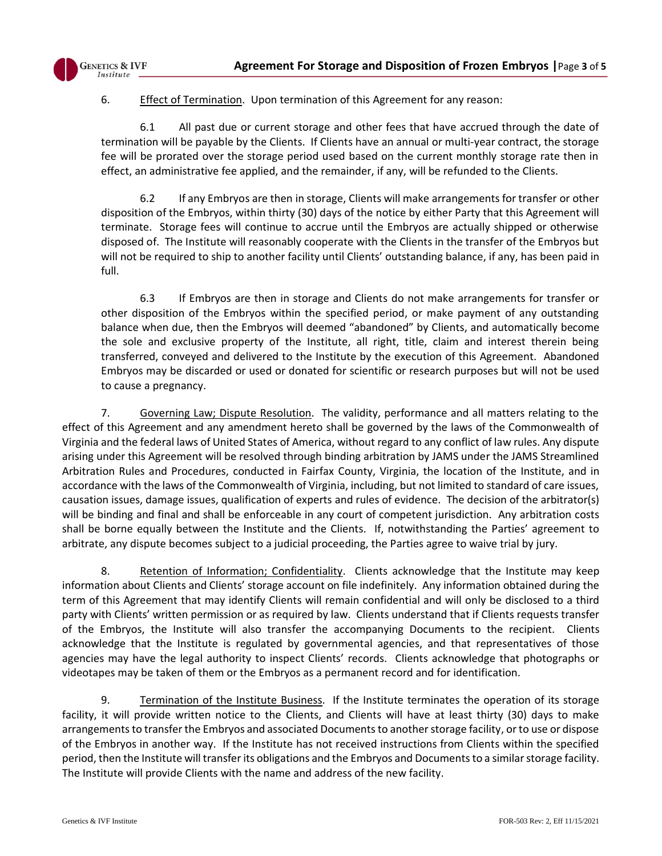

6. Effect of Termination. Upon termination of this Agreement for any reason:

6.1 All past due or current storage and other fees that have accrued through the date of termination will be payable by the Clients. If Clients have an annual or multi-year contract, the storage fee will be prorated over the storage period used based on the current monthly storage rate then in effect, an administrative fee applied, and the remainder, if any, will be refunded to the Clients.

6.2 If any Embryos are then in storage, Clients will make arrangements for transfer or other disposition of the Embryos, within thirty (30) days of the notice by either Party that this Agreement will terminate. Storage fees will continue to accrue until the Embryos are actually shipped or otherwise disposed of. The Institute will reasonably cooperate with the Clients in the transfer of the Embryos but will not be required to ship to another facility until Clients' outstanding balance, if any, has been paid in full.

6.3 If Embryos are then in storage and Clients do not make arrangements for transfer or other disposition of the Embryos within the specified period, or make payment of any outstanding balance when due, then the Embryos will deemed "abandoned" by Clients, and automatically become the sole and exclusive property of the Institute, all right, title, claim and interest therein being transferred, conveyed and delivered to the Institute by the execution of this Agreement. Abandoned Embryos may be discarded or used or donated for scientific or research purposes but will not be used to cause a pregnancy.

7. Governing Law; Dispute Resolution. The validity, performance and all matters relating to the effect of this Agreement and any amendment hereto shall be governed by the laws of the Commonwealth of Virginia and the federal laws of United States of America, without regard to any conflict of law rules. Any dispute arising under this Agreement will be resolved through binding arbitration by JAMS under the JAMS Streamlined Arbitration Rules and Procedures, conducted in Fairfax County, Virginia, the location of the Institute, and in accordance with the laws of the Commonwealth of Virginia, including, but not limited to standard of care issues, causation issues, damage issues, qualification of experts and rules of evidence. The decision of the arbitrator(s) will be binding and final and shall be enforceable in any court of competent jurisdiction. Any arbitration costs shall be borne equally between the Institute and the Clients. If, notwithstanding the Parties' agreement to arbitrate, any dispute becomes subject to a judicial proceeding, the Parties agree to waive trial by jury.

8. Retention of Information; Confidentiality. Clients acknowledge that the Institute may keep information about Clients and Clients' storage account on file indefinitely. Any information obtained during the term of this Agreement that may identify Clients will remain confidential and will only be disclosed to a third party with Clients' written permission or as required by law. Clients understand that if Clients requests transfer of the Embryos, the Institute will also transfer the accompanying Documents to the recipient. Clients acknowledge that the Institute is regulated by governmental agencies, and that representatives of those agencies may have the legal authority to inspect Clients' records. Clients acknowledge that photographs or videotapes may be taken of them or the Embryos as a permanent record and for identification.

9. Termination of the Institute Business. If the Institute terminates the operation of its storage facility, it will provide written notice to the Clients, and Clients will have at least thirty (30) days to make arrangements to transfer the Embryos and associated Documents to another storage facility, orto use or dispose of the Embryos in another way. If the Institute has not received instructions from Clients within the specified period, then the Institute will transfer its obligations and the Embryos and Documents to a similar storage facility. The Institute will provide Clients with the name and address of the new facility.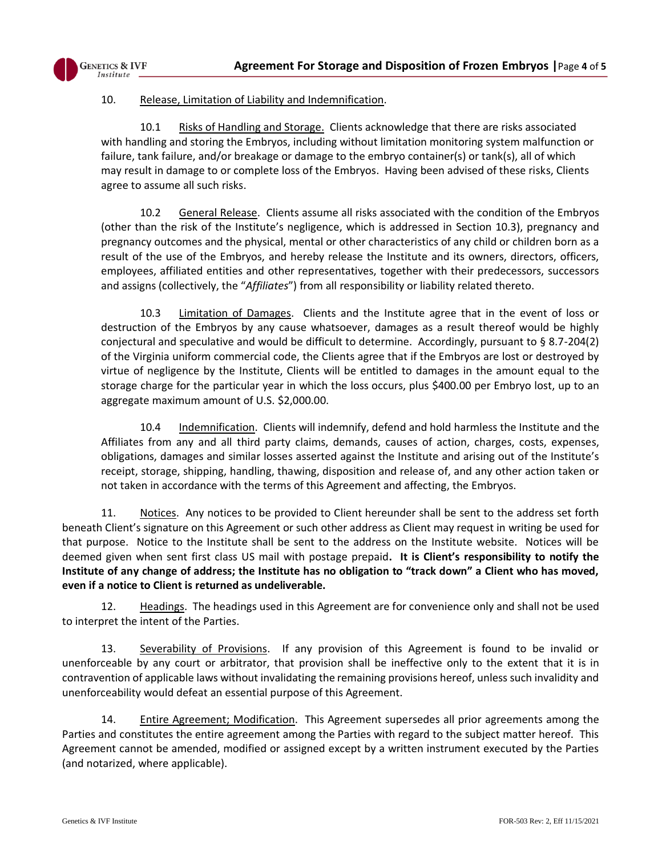

## 10. Release, Limitation of Liability and Indemnification.

10.1 Risks of Handling and Storage. Clients acknowledge that there are risks associated with handling and storing the Embryos, including without limitation monitoring system malfunction or failure, tank failure, and/or breakage or damage to the embryo container(s) or tank(s), all of which may result in damage to or complete loss of the Embryos. Having been advised of these risks, Clients agree to assume all such risks.

10.2 General Release. Clients assume all risks associated with the condition of the Embryos (other than the risk of the Institute's negligence, which is addressed in Section 10.3), pregnancy and pregnancy outcomes and the physical, mental or other characteristics of any child or children born as a result of the use of the Embryos, and hereby release the Institute and its owners, directors, officers, employees, affiliated entities and other representatives, together with their predecessors, successors and assigns (collectively, the "*Affiliates*") from all responsibility or liability related thereto.

10.3 Limitation of Damages. Clients and the Institute agree that in the event of loss or destruction of the Embryos by any cause whatsoever, damages as a result thereof would be highly conjectural and speculative and would be difficult to determine. Accordingly, pursuant to § 8.7-204(2) of the Virginia uniform commercial code, the Clients agree that if the Embryos are lost or destroyed by virtue of negligence by the Institute, Clients will be entitled to damages in the amount equal to the storage charge for the particular year in which the loss occurs, plus \$400.00 per Embryo lost, up to an aggregate maximum amount of U.S. \$2,000.00.

10.4 Indemnification. Clients will indemnify, defend and hold harmless the Institute and the Affiliates from any and all third party claims, demands, causes of action, charges, costs, expenses, obligations, damages and similar losses asserted against the Institute and arising out of the Institute's receipt, storage, shipping, handling, thawing, disposition and release of, and any other action taken or not taken in accordance with the terms of this Agreement and affecting, the Embryos.

11. Notices. Any notices to be provided to Client hereunder shall be sent to the address set forth beneath Client's signature on this Agreement or such other address as Client may request in writing be used for that purpose. Notice to the Institute shall be sent to the address on the Institute website. Notices will be deemed given when sent first class US mail with postage prepaid**. It is Client's responsibility to notify the Institute of any change of address; the Institute has no obligation to "track down" a Client who has moved, even if a notice to Client is returned as undeliverable.**

12. Headings. The headings used in this Agreement are for convenience only and shall not be used to interpret the intent of the Parties.

13. Severability of Provisions. If any provision of this Agreement is found to be invalid or unenforceable by any court or arbitrator, that provision shall be ineffective only to the extent that it is in contravention of applicable laws without invalidating the remaining provisions hereof, unless such invalidity and unenforceability would defeat an essential purpose of this Agreement.

14. Entire Agreement; Modification. This Agreement supersedes all prior agreements among the Parties and constitutes the entire agreement among the Parties with regard to the subject matter hereof. This Agreement cannot be amended, modified or assigned except by a written instrument executed by the Parties (and notarized, where applicable).